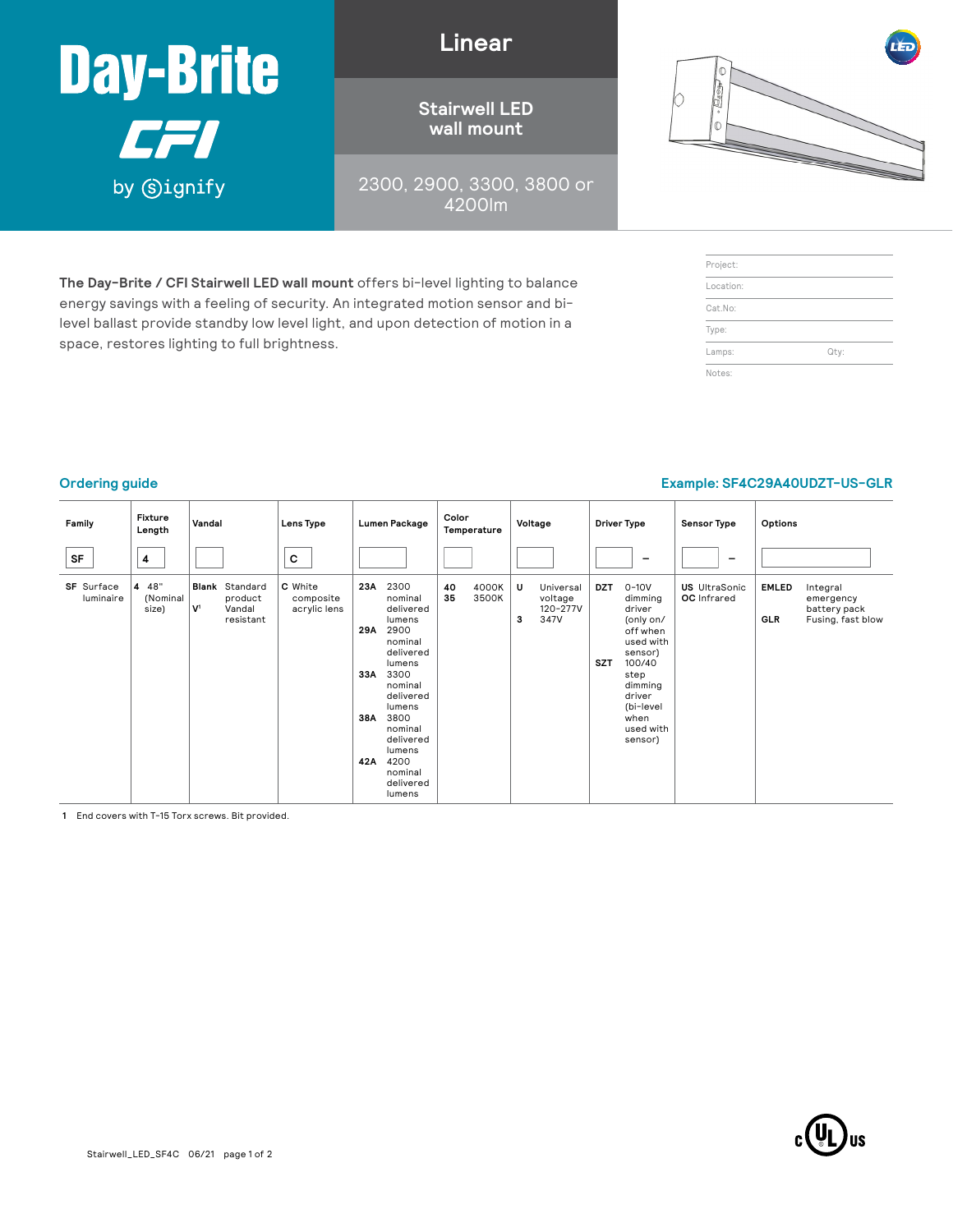

space, restores lighting to full brightness.

**Linear**

**Stairwell LED wall mount**

2300, 2900, 3300, 3800 or 4200lm

**The Day-Brite / CFI Stairwell LED wall mount** offers bi-level lighting to balance energy savings with a feeling of security. An integrated motion sensor and bilevel ballast provide standby low level light, and upon detection of motion in a



| Project:  |      |
|-----------|------|
| Location: |      |
| Cat.No:   |      |
| Type:     |      |
| Lamps:    | Qty: |
| Notes:    |      |

### **Ordering guide Example: SF4C29A40UDZT-US-GLR**

#### **Family Fixture Length Vandal Lens Type Lumen Package Color Temperature Voltage Driver Type Sensor Type Options SF <sup>4</sup> <sup>C</sup>** – – **SF** Surface luminaire **4** 48" (Nominal size) **Blank** Standard product **V1** Vandal resistant **C** White composite acrylic lens **23A** 2300 nominal delivered lumens **29A** 2900 nominal delivered lumens **33A** 3300 nominal delivered lumens **38A** 3800 nominal delivered lumens **42A** 4200 nominal delivered lumens **40** 4000K **35** 3500K **U** Universal voltage 120-277V **3** 347V **DZT** 0-10V dimming driver (only on/ off when used with sensor) **SZT** 100/40 step dimming driver (bi-level when used with sensor) **US** UltraSonic **OC** Infrared **EMLED** Integral emergency battery pack **GLR** Fusing, fast blow

**1** End covers with T-15 Torx screws. Bit provided.